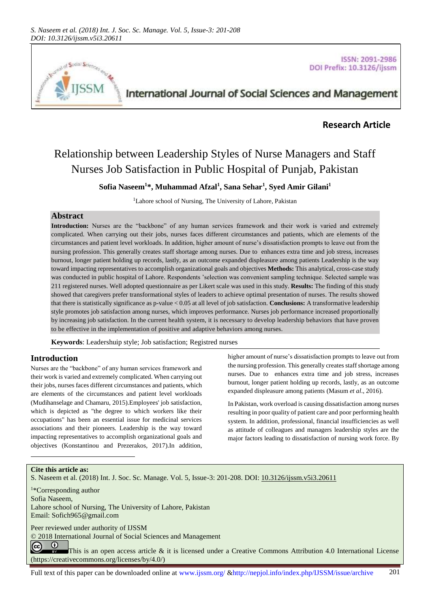

ISSN: 2091-2986 DOI Prefix: 10.3126/ijssm

# International Journal of Social Sciences and Management

# **Research Article**

# Relationship between Leadership Styles of Nurse Managers and Staff Nurses Job Satisfaction in Public Hospital of Punjab, Pakistan

**Sofia Naseem<sup>1</sup>\*, Muhammad Afzal<sup>1</sup> , Sana Sehar<sup>1</sup> , Syed Amir Gilani<sup>1</sup>**

<sup>1</sup>Lahore school of Nursing, The University of Lahore, Pakistan

#### **Abstract**

**Introduction:** Nurses are the "backbone" of any human services framework and their work is varied and extremely complicated. When carrying out their jobs, nurses faces different circumstances and patients, which are elements of the circumstances and patient level workloads. In addition, higher amount of nurse's dissatisfaction prompts to leave out from the nursing profession. This generally creates staff shortage among nurses. Due to enhances extra time and job stress, increases burnout, longer patient holding up records, lastly, as an outcome expanded displeasure among patients Leadership is the way toward impacting representatives to accomplish organizational goals and objectives **Methods:** This analytical, cross-case study was conducted in public hospital of Lahore. Respondents 'selection was convenient sampling technique. Selected sample was 211 registered nurses. Well adopted questionnaire as per Likert scale was used in this study. **Results:** The finding of this study showed that caregivers prefer transformational styles of leaders to achieve optimal presentation of nurses. The results showed that there is statistically significance as p-value < 0.05 at all level of job satisfaction. **Conclusions:** A transformative leadership style promotes job satisfaction among nurses, which improves performance. Nurses job performance increased proportionally by increasing job satisfaction. In the current health system, it is necessary to develop leadership behaviors that have proven to be effective in the implementation of positive and adaptive behaviors among nurses.

**Keywords**: Leadershuip style; Job satisfaction; Registred nurses

## **Introduction**

Nurses are the "backbone" of any human services framework and their work is varied and extremely complicated. When carrying out their jobs, nurses faces different circumstances and patients, which are elements of the circumstances and patient level workloads [\(Mudihanselage and](#page-7-0) Chamaru, 2015).Employees' job satisfaction, which is depicted as "the degree to which workers like their occupations" has been an essential issue for medicinal services associations and their pioneers. Leadership is the way toward impacting representatives to accomplish organizational goals and objectives [\(Konstantinou and](#page-7-1) Prezerakos, 2017).In addition, higher amount of nurse's dissatisfaction prompts to leave out from the nursing profession. This generally creates staff shortage among nurses. Due to enhances extra time and job stress, increases burnout, longer patient holding up records, lastly, as an outcome expanded displeasure among patients [\(Masum](#page-7-2) *et al*., 2016).

In Pakistan, work overload is causing dissatisfaction among nurses resulting in poor quality of patient care and poor performing health system. In addition, professional, financial insufficiencies as well as attitude of colleagues and managers leadership styles are the major factors leading to dissatisfaction of nursing work force. By

#### **Cite this article as:**

l

S. Naseem et al. (2018) Int. J. Soc. Sc. Manage. Vol. 5, Issue-3: 201-208. DOI[: 10.3126/ijssm.v5i3.20611](http://dx.doi.org/10.3126/ijssm.v5i3.20611)

<sup>1</sup>\*Corresponding author Sofia Naseem, Lahore school of Nursing, The University of Lahore, Pakistan Email[: Sofich965@gmail.com](mailto:Sofich965@gmail.com)

Peer reviewed under authority of IJSSM

© 2018 International Journal of Social Sciences and Management

 $\odot$ (cc) This is an open access article & it is licensed under a Creative Commons Attribution 4.0 International License [\(https://creativecommons.org/licenses/by/4.0/\)](https://creativecommons.org/licenses/by/4.0/)

Full text of this paper can be downloaded online at www.ijssm.org/ &http://nepjol.info/index.php/IJSSM/issue/archive 201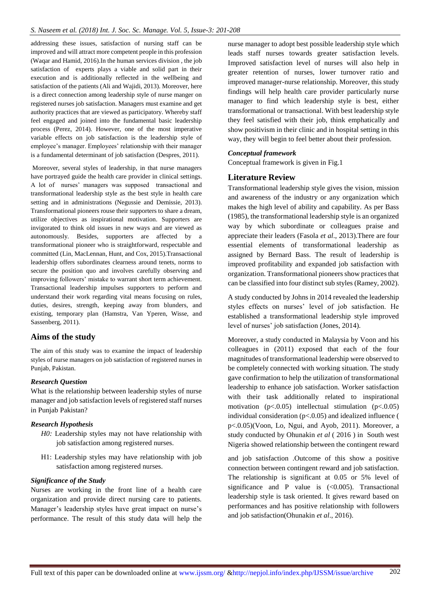addressing these issues, satisfaction of nursing staff can be improved and will attract more competent people in this profession (Waqar and [Hamid, 2016\)](#page-7-3).In the human services division , the job satisfaction of experts plays a viable and solid part in their execution and is additionally reflected in the wellbeing and satisfaction of the patients (Ali and [Wajidi, 2013\)](#page-7-4). Moreover, here is a direct connection among leadership style of nurse manger on registered nurses job satisfaction. Managers must examine and get authority practices that are viewed as participatory. Whereby staff feel engaged and joined into the fundamental basic leadership process (Perez, 2014). However, one of the most imperative variable effects on job satisfaction is the leadership style of employee's manager. Employees' relationship with their manager is a fundamental determinant of job satisfaction [\(Despres, 2011\)](#page-7-5).

Moreover, several styles of leadership, in that nurse managers have portrayed guide the health care provider in clinical settings. A lot of nurses' managers was supposed transactional and transformational leadership style as the best style in health care setting and in administrations (Negussie and [Demissie, 2013\)](#page-7-6). Transformational pioneers rouse their supporters to share a dream, utilize objectives as inspirational motivation. Supporters are invigorated to think old issues in new ways and are viewed as autonomously. Besides, supporters are affected by a transformational pioneer who is straightforward, respectable and committed [\(Lin, MacLennan, Hunt, and](#page-7-7) Cox, 2015).Transactional leadership offers subordinates clearness around tenets, norms to secure the position quo and involves carefully observing and improving followers' mistake to warrant short term achievement. Transactional leadership impulses supporters to perform and understand their work regarding vital means focusing on rules, duties, desires, strength, keeping away from blunders, and existing, temporary plan (Hamstra, Van Yperen, Wisse, and Sassenberg, 2011).

# **Aims of the study**

The aim of this study was to examine the impact of leadership styles of nurse managers on job satisfaction of registered nurses in Punjab, Pakistan.

## *Research Question*

What is the relationship between leadership styles of nurse manager and job satisfaction levels of registered staff nurses in Punjab Pakistan?

## *Research Hypothesis*

- *H0:* Leadership styles may not have relationship with job satisfaction among registered nurses.
- H1: Leadership styles may have relationship with job satisfaction among registered nurses.

#### *Significance of the Study*

Nurses are working in the front line of a health care organization and provide direct nursing care to patients. Manager's leadership styles have great impact on nurse's performance. The result of this study data will help the nurse manager to adopt best possible leadership style which leads staff nurses towards greater satisfaction levels. Improved satisfaction level of nurses will also help in greater retention of nurses, lower turnover ratio and improved manager-nurse relationship. Moreover, this study findings will help health care provider particularly nurse manager to find which leadership style is best, either transformational or transactional. With best leadership style they feel satisfied with their job, think emphatically and show positivism in their clinic and in hospital setting in this way, they will begin to feel better about their profession.

#### *Conceptual framework*

Conceptual framework is given in Fig.1

## **Literature Review**

Transformational leadership style gives the vision, mission and awareness of the industry or any organization which makes the high level of ability and capability. As per Bass (1985), the transformational leadership style is an organized way by which subordinate or colleagues praise and appreciate their leaders [\(Fasola](#page-7-8) *et al*., 2013).There are four essential elements of transformational leadership as assigned by Bernard Bass. The result of leadership is improved profitability and expanded job satisfaction with organization. Transformational pioneers show practices that can be classified into four distinct sub styles [\(Ramey, 2002\)](#page-7-9).

A study conducted by Johns in 2014 revealed the leadership styles effects on nurses' level of job satisfaction. He established a transformational leadership style improved level of nurses' job satisfaction [\(Jones, 2014\)](#page-7-4).

Moreover, a study conducted in Malaysia by Voon and his colleagues in (2011) exposed that each of the four magnitudes of transformational leadership were observed to be completely connected with working situation. The study gave confirmation to help the utilization of transformational leadership to enhance job satisfaction. Worker satisfaction with their task additionally related to inspirational motivation  $(p<.0.05)$  intellectual stimulation  $(p<.0.05)$ individual consideration  $(p<.0.05)$  and idealized influence ( p<.0.05)[\(Voon, Lo, Ngui, and](#page-7-10) Ayob, 2011). Moreover, a study conducted by Ohunakin *et al* ( 2016 ) in South west Nigeria showed relationship between the contingent reward

and job satisfaction .Outcome of this show a positive connection between contingent reward and job satisfaction. The relationship is significant at 0.05 or 5% level of significance and P value is  $( $0.005$ ). Transational$ leadership style is task oriented. It gives reward based on performances and has positive relationship with followers and job satisfaction[\(Ohunakin](#page-7-11) *et al*., 2016).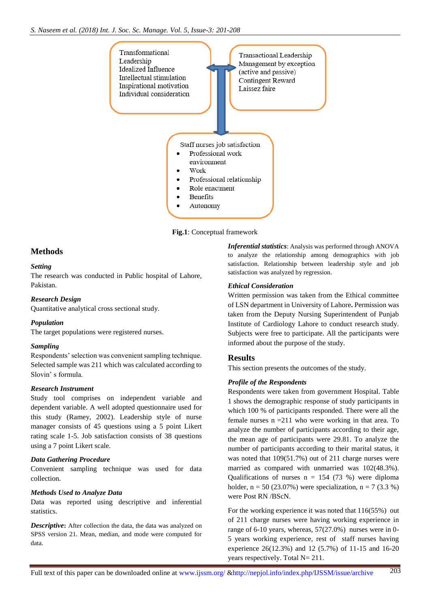

**Fig.1**: Conceptual framework

# **Methods**

## *Setting*

The research was conducted in Public hospital of Lahore, Pakistan.

## *Research Design*

Quantitative analytical cross sectional study.

## *Population*

The target populations were registered nurses.

## *Sampling*

Respondents' selection was convenient sampling technique. Selected sample was 211 which was calculated according to Slovin' s formula.

## *Research Instrument*

Study tool comprises on independent variable and dependent variable. A well adopted questionnaire used for this study [\(Ramey, 2002\)](#page-7-9). Leadership style of nurse manager consists of 45 questions using a 5 point Likert rating scale 1-5. Job satisfaction consists of 38 questions using a 7 point Likert scale.

## *Data Gathering Procedure*

Convenient sampling technique was used for data collection.

## *Methods Used to Analyze Data*

Data was reported using descriptive and inferential statistics.

*Descriptive*: After collection the data, the data was analyzed on SPSS version 21. Mean, median, and mode were computed for data.

*Inferential statistics*: Analysis was performed through ANOVA to analyze the relationship among demographics with job satisfaction. Relationship between leadership style and job satisfaction was analyzed by regression.

#### *Ethical Consideration*

Written permission was taken from the Ethical committee of LSN department in University of Lahore**.** Permission was taken from the Deputy Nursing Superintendent of Punjab Institute of Cardiology Lahore to conduct research study. Subjects were free to participate. All the participants were informed about the purpose of the study.

## **Results**

This section presents the outcomes of the study.

## *Profile of the Respondents*

Respondents were taken from government Hospital. Table 1 shows the demographic response of study participants in which 100 % of participants responded. There were all the female nurses n =211 who were working in that area. To analyze the number of participants according to their age, the mean age of participants were 29.81. To analyze the number of participants according to their marital status, it was noted that 109(51.7%) out of 211 charge nurses were married as compared with unmarried was 102(48.3%). Qualifications of nurses  $n = 154$  (73 %) were diploma holder,  $n = 50$  (23.07%) were specialization,  $n = 7$  (3.3 %) were Post RN /BScN.

For the working experience it was noted that 116(55%) out of 211 charge nurses were having working experience in range of 6-10 years, whereas, 57(27.0%) nurses were in 0- 5 years working experience, rest of staff nurses having experience 26(12.3%) and 12 (5.7%) of 11-15 and 16-20 years respectively. Total N= 211.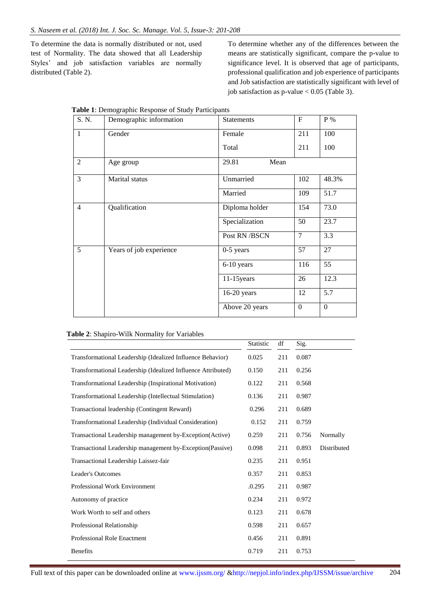To determine the data is normally distributed or not, used test of Normality. The data showed that all Leadership Styles' and job satisfaction variables are normally distributed (Table 2).

To determine whether any of the differences between the means are statistically significant, compare the p-value to significance level. It is observed that age of participants, professional qualification and job experience of participants and Job satisfaction are statistically significant with level of job satisfaction as p-value < 0.05 (Table 3).

| S. N.          | Demographic information | <b>Statements</b> | F              | $\, {\bf P}$ %   |
|----------------|-------------------------|-------------------|----------------|------------------|
| $\mathbf{1}$   | Gender                  | Female            | 211            | 100              |
|                |                         | Total             | 211            | 100              |
| $\overline{2}$ | Age group               | 29.81<br>Mean     |                |                  |
| 3              | Marital status          | Unmarried         | 102            | 48.3%            |
|                |                         | Married           | 109            | 51.7             |
| $\overline{4}$ | Qualification           | Diploma holder    | 154            | 73.0             |
|                |                         | Specialization    | 50             | 23.7             |
|                |                         | Post RN /BSCN     | $\overline{7}$ | 3.3              |
| 5              | Years of job experience | $0-5$ years       | 57             | 27               |
|                |                         | 6-10 years        | 116            | 55               |
|                |                         | $11-15$ years     | 26             | 12.3             |
|                |                         | $16-20$ years     | 12             | 5.7              |
|                |                         | Above 20 years    | $\Omega$       | $\boldsymbol{0}$ |

| Table 1: Demographic Response of Study Participants |  |  |
|-----------------------------------------------------|--|--|
|                                                     |  |  |

#### **Table 2**: Shapiro-Wilk Normality for Variables

|                                                              | Statistic | df  | Sig.  |             |
|--------------------------------------------------------------|-----------|-----|-------|-------------|
| Transformational Leadership (Idealized Influence Behavior)   | 0.025     | 211 | 0.087 |             |
| Transformational Leadership (Idealized Influence Attributed) | 0.150     | 211 | 0.256 |             |
| Transformational Leadership (Inspirational Motivation)       | 0.122     | 211 | 0.568 |             |
| Transformational Leadership (Intellectual Stimulation)       | 0.136     | 211 | 0.987 |             |
| Transactional leadership (Contingent Reward)                 | 0.296     | 211 | 0.689 |             |
| Transformational Leadership (Individual Consideration)       | 0.152     | 211 | 0.759 |             |
| Transactional Leadership management by-Exception(Active)     | 0.259     | 211 | 0.756 | Normally    |
| Transactional Leadership management by-Exception (Passive)   | 0.098     | 211 | 0.893 | Distributed |
| Transactional Leadership Laissez-fair                        | 0.235     | 211 | 0.951 |             |
| <b>Leader's Outcomes</b>                                     | 0.357     | 211 | 0.853 |             |
| <b>Professional Work Environment</b>                         | .0.295    | 211 | 0.987 |             |
| Autonomy of practice                                         | 0.234     | 211 | 0.972 |             |
| Work Worth to self and others                                | 0.123     | 211 | 0.678 |             |
| Professional Relationship                                    | 0.598     | 211 | 0.657 |             |
| <b>Professional Role Enactment</b>                           | 0.456     | 211 | 0.891 |             |
| <b>Benefits</b>                                              | 0.719     | 211 | 0.753 |             |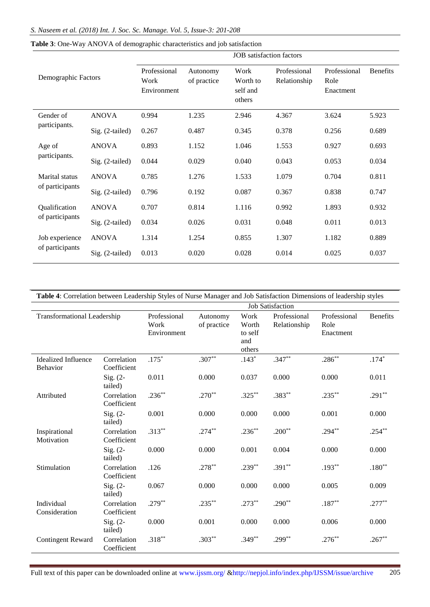|                            |                 |                                     |                         | <b>JOB</b> satisfaction factors        |                              |                                   |                 |
|----------------------------|-----------------|-------------------------------------|-------------------------|----------------------------------------|------------------------------|-----------------------------------|-----------------|
| Demographic Factors        |                 | Professional<br>Work<br>Environment | Autonomy<br>of practice | Work<br>Worth to<br>self and<br>others | Professional<br>Relationship | Professional<br>Role<br>Enactment | <b>Benefits</b> |
| Gender of<br>participants. | <b>ANOVA</b>    | 0.994                               | 1.235                   | 2.946                                  | 4.367                        | 3.624                             | 5.923           |
|                            | Sig. (2-tailed) | 0.267                               | 0.487                   | 0.345                                  | 0.378                        | 0.256                             | 0.689           |
| Age of                     | <b>ANOVA</b>    | 0.893                               | 1.152                   | 1.046                                  | 1.553                        | 0.927                             | 0.693           |
| participants.              | Sig. (2-tailed) | 0.044                               | 0.029                   | 0.040                                  | 0.043                        | 0.053                             | 0.034           |
| Marital status             | <b>ANOVA</b>    | 0.785                               | 1.276                   | 1.533                                  | 1.079                        | 0.704                             | 0.811           |
| of participants            | Sig. (2-tailed) | 0.796                               | 0.192                   | 0.087                                  | 0.367                        | 0.838                             | 0.747           |
| Qualification              | <b>ANOVA</b>    | 0.707                               | 0.814                   | 1.116                                  | 0.992                        | 1.893                             | 0.932           |
| of participants            | Sig. (2-tailed) | 0.034                               | 0.026                   | 0.031                                  | 0.048                        | 0.011                             | 0.013           |
| Job experience             | <b>ANOVA</b>    | 1.314                               | 1.254                   | 0.855                                  | 1.307                        | 1.182                             | 0.889           |
| of participants            | Sig. (2-tailed) | 0.013                               | 0.020                   | 0.028                                  | 0.014                        | 0.025                             | 0.037           |

|  |  | Table 3: One-Way ANOVA of demographic characteristics and job satisfaction |  |
|--|--|----------------------------------------------------------------------------|--|
|  |  |                                                                            |  |

# **Table 4**: Correlation between Leadership Styles of Nurse Manager and Job Satisfaction Dimensions of leadership styles

|                                        |                            |                                     |                         |                                           | <b>Job Satisfaction</b>      |                                   |                 |
|----------------------------------------|----------------------------|-------------------------------------|-------------------------|-------------------------------------------|------------------------------|-----------------------------------|-----------------|
| <b>Transformational Leadership</b>     |                            | Professional<br>Work<br>Environment | Autonomy<br>of practice | Work<br>Worth<br>to self<br>and<br>others | Professional<br>Relationship | Professional<br>Role<br>Enactment | <b>Benefits</b> |
| <b>Idealized Influence</b><br>Behavior | Correlation<br>Coefficient | $.175*$                             | $.307**$                | $.143*$                                   | $.347**$                     | $.286***$                         | $.174*$         |
|                                        | $Sig. (2-$<br>tailed)      | 0.011                               | 0.000                   | 0.037                                     | 0.000                        | 0.000                             | 0.011           |
| Attributed                             | Correlation<br>Coefficient | $.236**$                            | $.270**$                | $.325***$                                 | $.383**$                     | $.235***$                         | $.291**$        |
|                                        | Sig. $(2-$<br>tailed)      | 0.001                               | 0.000                   | 0.000                                     | 0.000                        | 0.001                             | 0.000           |
| Inspirational<br>Motivation            | Correlation<br>Coefficient | $.313**$                            | $.274***$               | $.236***$                                 | $.200**$                     | $.294**$                          | $.254***$       |
|                                        | $Sig. (2-$<br>tailed)      | 0.000                               | 0.000                   | 0.001                                     | 0.004                        | 0.000                             | 0.000           |
| Stimulation                            | Correlation<br>Coefficient | .126                                | $.278***$               | $.239***$                                 | $.391**$                     | $.193***$                         | $.180**$        |
|                                        | Sig. $(2-$<br>tailed)      | 0.067                               | 0.000                   | 0.000                                     | 0.000                        | 0.005                             | 0.009           |
| Individual<br>Consideration            | Correlation<br>Coefficient | $.279**$                            | $.235***$               | $.273***$                                 | $.290**$                     | $.187**$                          | $.277**$        |
|                                        | Sig. $(2-$<br>tailed)      | 0.000                               | 0.001                   | 0.000                                     | 0.000                        | 0.006                             | 0.000           |
| <b>Contingent Reward</b>               | Correlation<br>Coefficient | $.318***$                           | $.303**$                | $.349**$                                  | $.299***$                    | $.276***$                         | $.267**$        |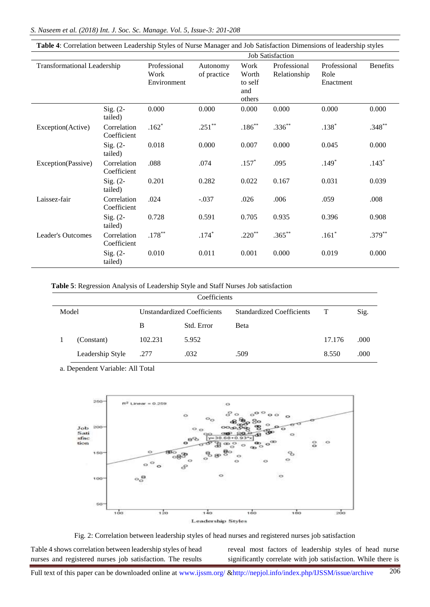|                                    |                            |                                     |                         |                                           | <b>Job Satisfaction</b>      |                                   |                 |
|------------------------------------|----------------------------|-------------------------------------|-------------------------|-------------------------------------------|------------------------------|-----------------------------------|-----------------|
| <b>Transformational Leadership</b> |                            | Professional<br>Work<br>Environment | Autonomy<br>of practice | Work<br>Worth<br>to self<br>and<br>others | Professional<br>Relationship | Professional<br>Role<br>Enactment | <b>Benefits</b> |
|                                    | $Sig. (2-$<br>tailed)      | 0.000                               | 0.000                   | 0.000                                     | 0.000                        | 0.000                             | 0.000           |
| Exception(Active)                  | Correlation<br>Coefficient | $.162*$                             | $.251**$                | $.186***$                                 | $.336**$                     | $.138*$                           | $.348**$        |
|                                    | Sig. $(2-$<br>tailed)      | 0.018                               | 0.000                   | 0.007                                     | 0.000                        | 0.045                             | 0.000           |
| Exception(Passive)                 | Correlation<br>Coefficient | .088                                | .074                    | $.157*$                                   | .095                         | $.149*$                           | $.143*$         |
|                                    | $Sig. (2-$<br>tailed)      | 0.201                               | 0.282                   | 0.022                                     | 0.167                        | 0.031                             | 0.039           |
| Laissez-fair                       | Correlation<br>Coefficient | .024                                | $-.037$                 | .026                                      | .006                         | .059                              | .008            |
|                                    | Sig. $(2-$<br>tailed)      | 0.728                               | 0.591                   | 0.705                                     | 0.935                        | 0.396                             | 0.908           |
| <b>Leader's Outcomes</b>           | Correlation<br>Coefficient | $.178***$                           | $.174*$                 | $.220**$                                  | $.365***$                    | $.161*$                           | $.379**$        |
|                                    | $Sig. (2-$<br>tailed)      | 0.010                               | 0.011                   | 0.001                                     | 0.000                        | 0.019                             | 0.000           |

**Table 4**: Correlation between Leadership Styles of Nurse Manager and Job Satisfaction Dimensions of leadership styles

**Table 5**: Regression Analysis of Leadership Style and Staff Nurses Job satisfaction

|       | Coefficients     |                             |            |                                  |             |      |  |  |  |
|-------|------------------|-----------------------------|------------|----------------------------------|-------------|------|--|--|--|
| Model |                  | Unstandardized Coefficients |            | <b>Standardized Coefficients</b> | $\mathbf T$ | Sig. |  |  |  |
|       |                  | B                           | Std. Error | <b>B</b> eta                     |             |      |  |  |  |
|       | (Constant)       | 102.231                     | 5.952      |                                  | 17.176      | .000 |  |  |  |
|       | Leadership Style | .277                        | .032       | .509                             | 8.550       | .000 |  |  |  |

a. Dependent Variable: All Total



Fig. 2: Correlation between leadership styles of head nurses and registered nurses job satisfaction

Table 4 shows correlation between leadership styles of head nurses and registered nurses job satisfaction. The results reveal most factors of leadership styles of head nurse significantly correlate with job satisfaction. While there is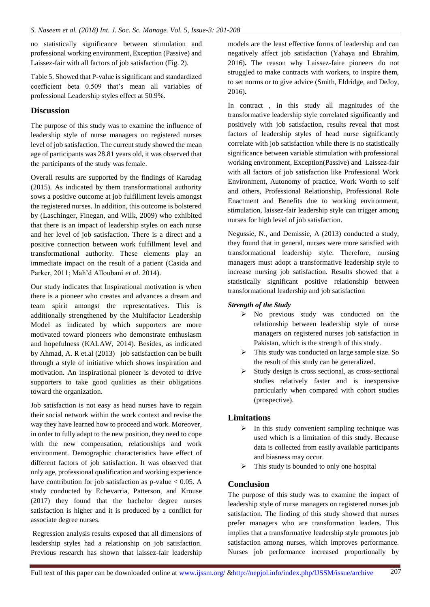no statistically significance between stimulation and professional working environment, Exception (Passive) and Laissez-fair with all factors of job satisfaction (Fig. 2).

Table 5. Showed that P-value is significant and standardized coefficient beta 0.509 that's mean all variables of professional Leadership styles effect at 50.9%.

# **Discussion**

The purpose of this study was to examine the influence of leadership style of nurse managers on registered nurses level of job satisfaction. The current study showed the mean age of participants was 28.81 years old, it was observed that the participants of the study was female.

Overall results are supported by the findings of Karadag (2015). As indicated by them transformational authority sows a positive outcome at job fulfillment levels amongst the registered nurses. In addition, this outcome is bolstered by [\(Laschinger, Finegan, and](#page-7-12) Wilk, 2009) who exhibited that there is an impact of leadership styles on each nurse and her level of job satisfaction. There is a direct and a positive connection between work fulfillment level and transformational authority. These elements play an immediate impact on the result of a patient (Casida and Parker, 2011; Mah'd Alloubani *et al*. 2014).

Our study indicates that Inspirational motivation is when there is a pioneer who creates and advances a dream and team spirit amongst the representatives. This is additionally strengthened by the Multifactor Leadership Model as indicated by which supporters are more motivated toward pioneers who demonstrate enthusiasm and hopefulness [\(KALAW, 2014\)](#page-7-13). Besides, as indicated by Ahmad, A. R et.al (2013) job satisfaction can be built through a style of initiative which shows inspiration and motivation. An inspirational pioneer is devoted to drive supporters to take good qualities as their obligations toward the organization.

Job satisfaction is not easy as head nurses have to regain their social network within the work context and revise the way they have learned how to proceed and work. Moreover, in order to fully adapt to the new position, they need to cope with the new compensation, relationships and work environment. Demographic characteristics have effect of different factors of job satisfaction. It was observed that only age, professional qualification and working experience have contribution for job satisfaction as  $p$ -value  $< 0.05$ . A study conducted by Echevarria, Patterson, and Krouse (2017) they found that the bachelor degree nurses satisfaction is higher and it is produced by a conflict for associate degree nurses.

Regression analysis results exposed that all dimensions of leadership styles had a relationship on job satisfaction. Previous research has shown that laissez-fair leadership

models are the least effective forms of leadership and can negatively affect job satisfaction [\(Yahaya and](#page-7-14) Ebrahim, [2016\)](#page-7-14)**.** The reason why Laissez-faire pioneers do not struggled to make contracts with workers, to inspire them, to set norms or to give advice [\(Smith, Eldridge, and](#page-7-15) DeJoy, [2016\)](#page-7-15)**.**

In contract , in this study all magnitudes of the transformative leadership style correlated significantly and positively with job satisfaction, results reveal that most factors of leadership styles of head nurse significantly correlate with job satisfaction while there is no statistically significance between variable stimulation with professional working environment, Exception(Passive) and Laissez-fair with all factors of job satisfaction like Professional Work Environment, Autonomy of practice, Work Worth to self and others, Professional Relationship, Professional Role Enactment and Benefits due to working environment, stimulation, laissez-fair leadership style can trigger among nurses for high level of job satisfaction.

Negussie, N., and Demissie, A (2013) conducted a study, they found that in general, nurses were more satisfied with transformational leadership style. Therefore, nursing managers must adopt a transformative leadership style to increase nursing job satisfaction. Results showed that a statistically significant positive relationship between transformational leadership and job satisfaction

## *Strength of the Study*

- No previous study was conducted on the relationship between leadership style of nurse managers on registered nurses job satisfaction in Pakistan, which is the strength of this study.
- $\triangleright$  This study was conducted on large sample size. So the result of this study can be generalized.
- $\triangleright$  Study design is cross sectional, as cross-sectional studies relatively faster and is inexpensive particularly when compared with cohort studies (prospective).

## **Limitations**

- $\triangleright$  In this study convenient sampling technique was used which is a limitation of this study. Because data is collected from easily available participants and biasness may occur.
- $\triangleright$  This study is bounded to only one hospital

## **Conclusion**

The purpose of this study was to examine the impact of leadership style of nurse managers on registered nurses job satisfaction. The finding of this study showed that nurses prefer managers who are transformation leaders. This implies that a transformative leadership style promotes job satisfaction among nurses, which improves performance. Nurses job performance increased proportionally by